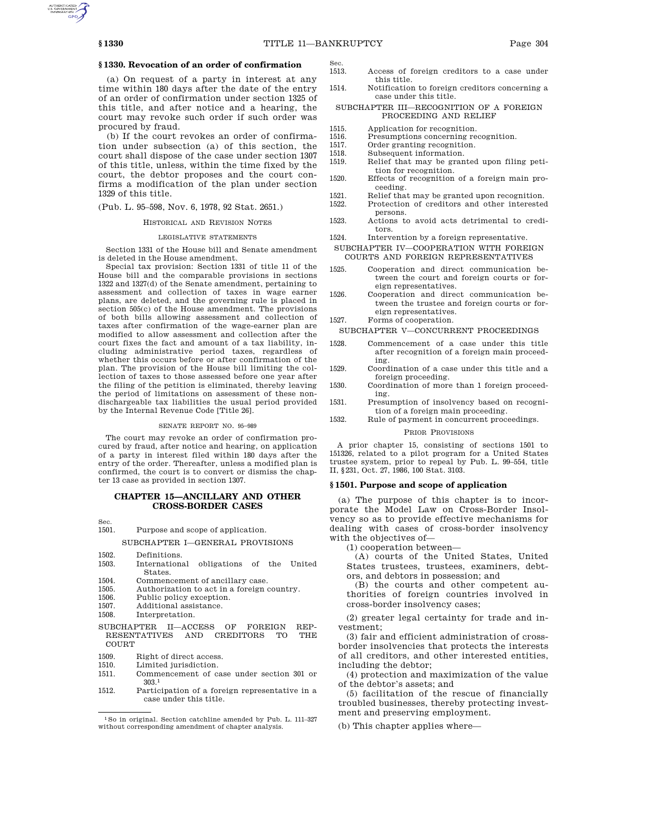# **§ 1330. Revocation of an order of confirmation**

(a) On request of a party in interest at any time within 180 days after the date of the entry of an order of confirmation under section 1325 of this title, and after notice and a hearing, the court may revoke such order if such order was procured by fraud.

(b) If the court revokes an order of confirmation under subsection (a) of this section, the court shall dispose of the case under section 1307 of this title, unless, within the time fixed by the court, the debtor proposes and the court confirms a modification of the plan under section 1329 of this title.

(Pub. L. 95–598, Nov. 6, 1978, 92 Stat. 2651.)

# HISTORICAL AND REVISION NOTES

#### LEGISLATIVE STATEMENTS

Section 1331 of the House bill and Senate amendment is deleted in the House amendment.

Special tax provision: Section 1331 of title 11 of the House bill and the comparable provisions in sections 1322 and 1327(d) of the Senate amendment, pertaining to assessment and collection of taxes in wage earner plans, are deleted, and the governing rule is placed in section 505(c) of the House amendment. The provisions of both bills allowing assessment and collection of taxes after confirmation of the wage-earner plan are modified to allow assessment and collection after the court fixes the fact and amount of a tax liability, including administrative period taxes, regardless of whether this occurs before or after confirmation of the plan. The provision of the House bill limiting the collection of taxes to those assessed before one year after the filing of the petition is eliminated, thereby leaving the period of limitations on assessment of these nondischargeable tax liabilities the usual period provided by the Internal Revenue Code [Title 26].

#### SENATE REPORT NO. 95–989

The court may revoke an order of confirmation procured by fraud, after notice and hearing, on application of a party in interest filed within 180 days after the entry of the order. Thereafter, unless a modified plan is confirmed, the court is to convert or dismiss the chapter 13 case as provided in section 1307.

# **CHAPTER 15—ANCILLARY AND OTHER CROSS-BORDER CASES**

Sec.

# 1501. Purpose and scope of application.

SUBCHAPTER I—GENERAL PROVISIONS

- 
- 1502. Definitions. International obligations of the United States.
- 1504. Commencement of ancillary case.
- 1505. Authorization to act in a foreign country.<br>1506 Public policy exception
- 1506. Public policy exception.<br>1507. Additional assistance.
- Additional assistance.
- 1508. Interpretation.
- SUBCHAPTER II—ACCESS OF FOREIGN REP-RESENTATIVES AND CREDITORS TO COURT
- 1509. Right of direct access.
- 1510. Limited jurisdiction.
- 1511. Commencement of case under section 301 or 303.1
- 1512. Participation of a foreign representative in a case under this title.
- Sec.<br>1513 Access of foreign creditors to a case under this title.
- 1514. Notification to foreign creditors concerning a case under this title.

# SUBCHAPTER III—RECOGNITION OF A FOREIGN PROCEEDING AND RELIEF

- 1515. Application for recognition.<br>1516. Presumptions concerning re
- 1516. Presumptions concerning recognition.<br>1517. Order granting recognition.
- 1517. Order granting recognition.<br>1518. Subsequent information.
- 1518. Subsequent information.<br>1519. Relief that may be gran
	- Relief that may be granted upon filing petition for recognition.
- 1520. Effects of recognition of a foreign main proceeding.
- 1521. Relief that may be granted upon recognition.<br>1522. Protection of creditors and other interested
- Protection of creditors and other interested persons.
- 1523. Actions to avoid acts detrimental to creditors.
- 1524. Intervention by a foreign representative.
- SUBCHAPTER IV—COOPERATION WITH FOREIGN COURTS AND FOREIGN REPRESENTATIVES
- 1525. Cooperation and direct communication between the court and foreign courts or foreign representatives.
- 1526. Cooperation and direct communication between the trustee and foreign courts or foreign representatives.
- 1527. Forms of cooperation.
- SUBCHAPTER V—CONCURRENT PROCEEDINGS
- 1528. Commencement of a case under this title after recognition of a foreign main proceeding.
- 1529. Coordination of a case under this title and a foreign proceeding.
- 1530. Coordination of more than 1 foreign proceeding.
- 1531. Presumption of insolvency based on recognition of a foreign main proceeding.
- 1532. Rule of payment in concurrent proceedings.

### PRIOR PROVISIONS

A prior chapter 15, consisting of sections 1501 to 151326, related to a pilot program for a United States trustee system, prior to repeal by Pub. L. 99–554, title II, §231, Oct. 27, 1986, 100 Stat. 3103.

### **§ 1501. Purpose and scope of application**

(a) The purpose of this chapter is to incorporate the Model Law on Cross-Border Insolvency so as to provide effective mechanisms for dealing with cases of cross-border insolvency with the objectives of—

(1) cooperation between—

(A) courts of the United States, United States trustees, trustees, examiners, debtors, and debtors in possession; and

(B) the courts and other competent authorities of foreign countries involved in cross-border insolvency cases;

(2) greater legal certainty for trade and investment;

(3) fair and efficient administration of crossborder insolvencies that protects the interests of all creditors, and other interested entities, including the debtor;

(4) protection and maximization of the value of the debtor's assets; and

(5) facilitation of the rescue of financially troubled businesses, thereby protecting investment and preserving employment.

(b) This chapter applies where—

 $^{\rm 1}\!$  So in original. Section catchline amended by Pub. L. 111–327 without corresponding amendment of chapter analysis.